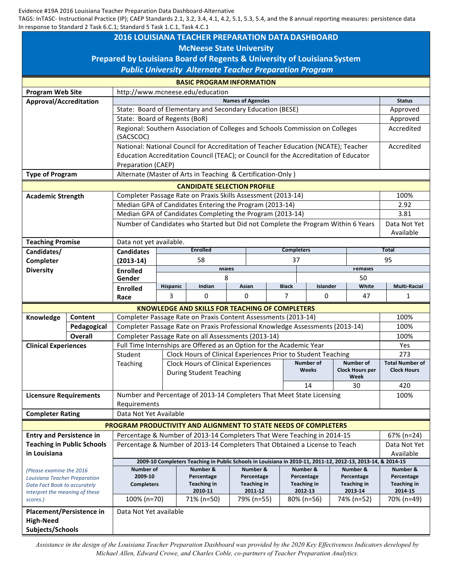Evidence #19A 2016 Louisiana Teacher Preparation Data Dashboard-Alternative

TAGS: InTASC- Instructional Practice (IP); CAEP Standards 2.1, 3.2, 3.4, 4.1, 4.2, 5.1, 5.3, 5.4, and the 8 annual reporting measures: persistence data In response to Standard 2 Task 6.C.1; Standard 5 Task 1.C.1, Task 4.C.1

| <b>2016 LOUISIANA TEACHER PREPARATION DATA DASHBOARD</b><br><b>McNeese State University</b><br>Prepared by Louisiana Board of Regents & University of Louisiana System<br><b>Public University Alternate Teacher Preparation Program</b><br><b>BASIC PROGRAM INFORMATION</b><br><b>Program Web Site</b><br>http://www.mcneese.edu/education<br><b>Names of Agencies</b><br>Approval/Accreditation<br><b>Status</b><br>State: Board of Elementary and Secondary Education (BESE)<br>Approved<br>State: Board of Regents (BoR)<br>Approved<br>Regional: Southern Association of Colleges and Schools Commission on Colleges<br>Accredited<br>(SACSCOC)<br>National: National Council for Accreditation of Teacher Education (NCATE); Teacher<br>Accredited<br>Education Accreditation Council (TEAC); or Council for the Accreditation of Educator<br>Preparation (CAEP)<br>Alternate (Master of Arts in Teaching & Certification-Only)<br><b>Type of Program</b><br><b>CANDIDATE SELECTION PROFILE</b><br>Completer Passage Rate on Praxis Skills Assessment (2013-14)<br>100%<br><b>Academic Strength</b><br>Median GPA of Candidates Entering the Program (2013-14)<br>2.92<br>Median GPA of Candidates Completing the Program (2013-14)<br>3.81<br>Number of Candidates who Started but Did not Complete the Program Within 6 Years<br>Data Not Yet<br>Available<br><b>Teaching Promise</b><br>Data not yet available.<br><b>Enrolled</b><br><b>Completers</b><br><b>Total</b><br>Candidates/<br><b>Candidates</b><br>58<br>95<br>37<br>Completer<br>$(2013-14)$<br><b>IVIAIES</b><br>remaies<br><b>Diversity</b><br><b>Enrolled</b><br>8<br>50<br>Gender<br>Hispanic<br>Indian<br>Asian<br><b>Black</b><br>Islander<br>White<br><b>Multi-Racial</b><br><b>Enrolled</b><br>3<br>$\Omega$<br>0<br>7<br>47<br>0<br>1<br>Race<br><b>KNOWLEDGE AND SKILLS FOR TEACHING OF COMPLETERS</b><br>Completer Passage Rate on Praxis Content Assessments (2013-14)<br>100%<br>Content<br>Knowledge<br>Completer Passage Rate on Praxis Professional Knowledge Assessments (2013-14)<br>100%<br>Pedagogical<br>Completer Passage Rate on all Assessments (2013-14)<br><b>Overall</b><br>100%<br>Full Time Internships are Offered as an Option for the Academic Year<br><b>Clinical Experiences</b><br>Yes<br>Clock Hours of Clinical Experiences Prior to Student Teaching<br>273<br>Student<br>Number of<br><b>Number of</b><br><b>Total Number of</b><br><b>Clock Hours of Clinical Experiences</b><br>Teaching<br><b>Weeks</b><br><b>Clock Hours per</b><br><b>Clock Hours</b><br><b>During Student Teaching</b><br>Week<br>14<br>30<br>420<br>Number and Percentage of 2013-14 Completers That Meet State Licensing<br><b>Licensure Requirements</b><br>100%<br>Requirements<br>Data Not Yet Available<br><b>Completer Rating</b><br>PROGRAM PRODUCTIVITY AND ALIGNMENT TO STATE NEEDS OF COMPLETERS<br>Percentage & Number of 2013-14 Completers That Were Teaching in 2014-15<br><b>Entry and Persistence in</b><br>67% (n=24)<br><b>Teaching in Public Schools</b><br>Percentage & Number of 2013-14 Completers That Obtained a License to Teach<br>Data Not Yet<br>in Louisiana<br>Available |  |  |  |  |  |  |  |  |
|--------------------------------------------------------------------------------------------------------------------------------------------------------------------------------------------------------------------------------------------------------------------------------------------------------------------------------------------------------------------------------------------------------------------------------------------------------------------------------------------------------------------------------------------------------------------------------------------------------------------------------------------------------------------------------------------------------------------------------------------------------------------------------------------------------------------------------------------------------------------------------------------------------------------------------------------------------------------------------------------------------------------------------------------------------------------------------------------------------------------------------------------------------------------------------------------------------------------------------------------------------------------------------------------------------------------------------------------------------------------------------------------------------------------------------------------------------------------------------------------------------------------------------------------------------------------------------------------------------------------------------------------------------------------------------------------------------------------------------------------------------------------------------------------------------------------------------------------------------------------------------------------------------------------------------------------------------------------------------------------------------------------------------------------------------------------------------------------------------------------------------------------------------------------------------------------------------------------------------------------------------------------------------------------------------------------------------------------------------------------------------------------------------------------------------------------------------------------------------------------------------------------------------------------------------------------------------------------------------------------------------------------------------------------------------------------------------------------------------------------------------------------------------------------------------------------------------------------------------------------------------------------------------------------------------------------------------------------------------------------------------------------------------------------------------------------------------------------------------------------------------------------------------------------------------------------|--|--|--|--|--|--|--|--|
|                                                                                                                                                                                                                                                                                                                                                                                                                                                                                                                                                                                                                                                                                                                                                                                                                                                                                                                                                                                                                                                                                                                                                                                                                                                                                                                                                                                                                                                                                                                                                                                                                                                                                                                                                                                                                                                                                                                                                                                                                                                                                                                                                                                                                                                                                                                                                                                                                                                                                                                                                                                                                                                                                                                                                                                                                                                                                                                                                                                                                                                                                                                                                                                            |  |  |  |  |  |  |  |  |
|                                                                                                                                                                                                                                                                                                                                                                                                                                                                                                                                                                                                                                                                                                                                                                                                                                                                                                                                                                                                                                                                                                                                                                                                                                                                                                                                                                                                                                                                                                                                                                                                                                                                                                                                                                                                                                                                                                                                                                                                                                                                                                                                                                                                                                                                                                                                                                                                                                                                                                                                                                                                                                                                                                                                                                                                                                                                                                                                                                                                                                                                                                                                                                                            |  |  |  |  |  |  |  |  |
|                                                                                                                                                                                                                                                                                                                                                                                                                                                                                                                                                                                                                                                                                                                                                                                                                                                                                                                                                                                                                                                                                                                                                                                                                                                                                                                                                                                                                                                                                                                                                                                                                                                                                                                                                                                                                                                                                                                                                                                                                                                                                                                                                                                                                                                                                                                                                                                                                                                                                                                                                                                                                                                                                                                                                                                                                                                                                                                                                                                                                                                                                                                                                                                            |  |  |  |  |  |  |  |  |
|                                                                                                                                                                                                                                                                                                                                                                                                                                                                                                                                                                                                                                                                                                                                                                                                                                                                                                                                                                                                                                                                                                                                                                                                                                                                                                                                                                                                                                                                                                                                                                                                                                                                                                                                                                                                                                                                                                                                                                                                                                                                                                                                                                                                                                                                                                                                                                                                                                                                                                                                                                                                                                                                                                                                                                                                                                                                                                                                                                                                                                                                                                                                                                                            |  |  |  |  |  |  |  |  |
|                                                                                                                                                                                                                                                                                                                                                                                                                                                                                                                                                                                                                                                                                                                                                                                                                                                                                                                                                                                                                                                                                                                                                                                                                                                                                                                                                                                                                                                                                                                                                                                                                                                                                                                                                                                                                                                                                                                                                                                                                                                                                                                                                                                                                                                                                                                                                                                                                                                                                                                                                                                                                                                                                                                                                                                                                                                                                                                                                                                                                                                                                                                                                                                            |  |  |  |  |  |  |  |  |
|                                                                                                                                                                                                                                                                                                                                                                                                                                                                                                                                                                                                                                                                                                                                                                                                                                                                                                                                                                                                                                                                                                                                                                                                                                                                                                                                                                                                                                                                                                                                                                                                                                                                                                                                                                                                                                                                                                                                                                                                                                                                                                                                                                                                                                                                                                                                                                                                                                                                                                                                                                                                                                                                                                                                                                                                                                                                                                                                                                                                                                                                                                                                                                                            |  |  |  |  |  |  |  |  |
|                                                                                                                                                                                                                                                                                                                                                                                                                                                                                                                                                                                                                                                                                                                                                                                                                                                                                                                                                                                                                                                                                                                                                                                                                                                                                                                                                                                                                                                                                                                                                                                                                                                                                                                                                                                                                                                                                                                                                                                                                                                                                                                                                                                                                                                                                                                                                                                                                                                                                                                                                                                                                                                                                                                                                                                                                                                                                                                                                                                                                                                                                                                                                                                            |  |  |  |  |  |  |  |  |
|                                                                                                                                                                                                                                                                                                                                                                                                                                                                                                                                                                                                                                                                                                                                                                                                                                                                                                                                                                                                                                                                                                                                                                                                                                                                                                                                                                                                                                                                                                                                                                                                                                                                                                                                                                                                                                                                                                                                                                                                                                                                                                                                                                                                                                                                                                                                                                                                                                                                                                                                                                                                                                                                                                                                                                                                                                                                                                                                                                                                                                                                                                                                                                                            |  |  |  |  |  |  |  |  |
|                                                                                                                                                                                                                                                                                                                                                                                                                                                                                                                                                                                                                                                                                                                                                                                                                                                                                                                                                                                                                                                                                                                                                                                                                                                                                                                                                                                                                                                                                                                                                                                                                                                                                                                                                                                                                                                                                                                                                                                                                                                                                                                                                                                                                                                                                                                                                                                                                                                                                                                                                                                                                                                                                                                                                                                                                                                                                                                                                                                                                                                                                                                                                                                            |  |  |  |  |  |  |  |  |
|                                                                                                                                                                                                                                                                                                                                                                                                                                                                                                                                                                                                                                                                                                                                                                                                                                                                                                                                                                                                                                                                                                                                                                                                                                                                                                                                                                                                                                                                                                                                                                                                                                                                                                                                                                                                                                                                                                                                                                                                                                                                                                                                                                                                                                                                                                                                                                                                                                                                                                                                                                                                                                                                                                                                                                                                                                                                                                                                                                                                                                                                                                                                                                                            |  |  |  |  |  |  |  |  |
|                                                                                                                                                                                                                                                                                                                                                                                                                                                                                                                                                                                                                                                                                                                                                                                                                                                                                                                                                                                                                                                                                                                                                                                                                                                                                                                                                                                                                                                                                                                                                                                                                                                                                                                                                                                                                                                                                                                                                                                                                                                                                                                                                                                                                                                                                                                                                                                                                                                                                                                                                                                                                                                                                                                                                                                                                                                                                                                                                                                                                                                                                                                                                                                            |  |  |  |  |  |  |  |  |
|                                                                                                                                                                                                                                                                                                                                                                                                                                                                                                                                                                                                                                                                                                                                                                                                                                                                                                                                                                                                                                                                                                                                                                                                                                                                                                                                                                                                                                                                                                                                                                                                                                                                                                                                                                                                                                                                                                                                                                                                                                                                                                                                                                                                                                                                                                                                                                                                                                                                                                                                                                                                                                                                                                                                                                                                                                                                                                                                                                                                                                                                                                                                                                                            |  |  |  |  |  |  |  |  |
|                                                                                                                                                                                                                                                                                                                                                                                                                                                                                                                                                                                                                                                                                                                                                                                                                                                                                                                                                                                                                                                                                                                                                                                                                                                                                                                                                                                                                                                                                                                                                                                                                                                                                                                                                                                                                                                                                                                                                                                                                                                                                                                                                                                                                                                                                                                                                                                                                                                                                                                                                                                                                                                                                                                                                                                                                                                                                                                                                                                                                                                                                                                                                                                            |  |  |  |  |  |  |  |  |
|                                                                                                                                                                                                                                                                                                                                                                                                                                                                                                                                                                                                                                                                                                                                                                                                                                                                                                                                                                                                                                                                                                                                                                                                                                                                                                                                                                                                                                                                                                                                                                                                                                                                                                                                                                                                                                                                                                                                                                                                                                                                                                                                                                                                                                                                                                                                                                                                                                                                                                                                                                                                                                                                                                                                                                                                                                                                                                                                                                                                                                                                                                                                                                                            |  |  |  |  |  |  |  |  |
|                                                                                                                                                                                                                                                                                                                                                                                                                                                                                                                                                                                                                                                                                                                                                                                                                                                                                                                                                                                                                                                                                                                                                                                                                                                                                                                                                                                                                                                                                                                                                                                                                                                                                                                                                                                                                                                                                                                                                                                                                                                                                                                                                                                                                                                                                                                                                                                                                                                                                                                                                                                                                                                                                                                                                                                                                                                                                                                                                                                                                                                                                                                                                                                            |  |  |  |  |  |  |  |  |
|                                                                                                                                                                                                                                                                                                                                                                                                                                                                                                                                                                                                                                                                                                                                                                                                                                                                                                                                                                                                                                                                                                                                                                                                                                                                                                                                                                                                                                                                                                                                                                                                                                                                                                                                                                                                                                                                                                                                                                                                                                                                                                                                                                                                                                                                                                                                                                                                                                                                                                                                                                                                                                                                                                                                                                                                                                                                                                                                                                                                                                                                                                                                                                                            |  |  |  |  |  |  |  |  |
|                                                                                                                                                                                                                                                                                                                                                                                                                                                                                                                                                                                                                                                                                                                                                                                                                                                                                                                                                                                                                                                                                                                                                                                                                                                                                                                                                                                                                                                                                                                                                                                                                                                                                                                                                                                                                                                                                                                                                                                                                                                                                                                                                                                                                                                                                                                                                                                                                                                                                                                                                                                                                                                                                                                                                                                                                                                                                                                                                                                                                                                                                                                                                                                            |  |  |  |  |  |  |  |  |
|                                                                                                                                                                                                                                                                                                                                                                                                                                                                                                                                                                                                                                                                                                                                                                                                                                                                                                                                                                                                                                                                                                                                                                                                                                                                                                                                                                                                                                                                                                                                                                                                                                                                                                                                                                                                                                                                                                                                                                                                                                                                                                                                                                                                                                                                                                                                                                                                                                                                                                                                                                                                                                                                                                                                                                                                                                                                                                                                                                                                                                                                                                                                                                                            |  |  |  |  |  |  |  |  |
|                                                                                                                                                                                                                                                                                                                                                                                                                                                                                                                                                                                                                                                                                                                                                                                                                                                                                                                                                                                                                                                                                                                                                                                                                                                                                                                                                                                                                                                                                                                                                                                                                                                                                                                                                                                                                                                                                                                                                                                                                                                                                                                                                                                                                                                                                                                                                                                                                                                                                                                                                                                                                                                                                                                                                                                                                                                                                                                                                                                                                                                                                                                                                                                            |  |  |  |  |  |  |  |  |
|                                                                                                                                                                                                                                                                                                                                                                                                                                                                                                                                                                                                                                                                                                                                                                                                                                                                                                                                                                                                                                                                                                                                                                                                                                                                                                                                                                                                                                                                                                                                                                                                                                                                                                                                                                                                                                                                                                                                                                                                                                                                                                                                                                                                                                                                                                                                                                                                                                                                                                                                                                                                                                                                                                                                                                                                                                                                                                                                                                                                                                                                                                                                                                                            |  |  |  |  |  |  |  |  |
|                                                                                                                                                                                                                                                                                                                                                                                                                                                                                                                                                                                                                                                                                                                                                                                                                                                                                                                                                                                                                                                                                                                                                                                                                                                                                                                                                                                                                                                                                                                                                                                                                                                                                                                                                                                                                                                                                                                                                                                                                                                                                                                                                                                                                                                                                                                                                                                                                                                                                                                                                                                                                                                                                                                                                                                                                                                                                                                                                                                                                                                                                                                                                                                            |  |  |  |  |  |  |  |  |
|                                                                                                                                                                                                                                                                                                                                                                                                                                                                                                                                                                                                                                                                                                                                                                                                                                                                                                                                                                                                                                                                                                                                                                                                                                                                                                                                                                                                                                                                                                                                                                                                                                                                                                                                                                                                                                                                                                                                                                                                                                                                                                                                                                                                                                                                                                                                                                                                                                                                                                                                                                                                                                                                                                                                                                                                                                                                                                                                                                                                                                                                                                                                                                                            |  |  |  |  |  |  |  |  |
|                                                                                                                                                                                                                                                                                                                                                                                                                                                                                                                                                                                                                                                                                                                                                                                                                                                                                                                                                                                                                                                                                                                                                                                                                                                                                                                                                                                                                                                                                                                                                                                                                                                                                                                                                                                                                                                                                                                                                                                                                                                                                                                                                                                                                                                                                                                                                                                                                                                                                                                                                                                                                                                                                                                                                                                                                                                                                                                                                                                                                                                                                                                                                                                            |  |  |  |  |  |  |  |  |
|                                                                                                                                                                                                                                                                                                                                                                                                                                                                                                                                                                                                                                                                                                                                                                                                                                                                                                                                                                                                                                                                                                                                                                                                                                                                                                                                                                                                                                                                                                                                                                                                                                                                                                                                                                                                                                                                                                                                                                                                                                                                                                                                                                                                                                                                                                                                                                                                                                                                                                                                                                                                                                                                                                                                                                                                                                                                                                                                                                                                                                                                                                                                                                                            |  |  |  |  |  |  |  |  |
|                                                                                                                                                                                                                                                                                                                                                                                                                                                                                                                                                                                                                                                                                                                                                                                                                                                                                                                                                                                                                                                                                                                                                                                                                                                                                                                                                                                                                                                                                                                                                                                                                                                                                                                                                                                                                                                                                                                                                                                                                                                                                                                                                                                                                                                                                                                                                                                                                                                                                                                                                                                                                                                                                                                                                                                                                                                                                                                                                                                                                                                                                                                                                                                            |  |  |  |  |  |  |  |  |
|                                                                                                                                                                                                                                                                                                                                                                                                                                                                                                                                                                                                                                                                                                                                                                                                                                                                                                                                                                                                                                                                                                                                                                                                                                                                                                                                                                                                                                                                                                                                                                                                                                                                                                                                                                                                                                                                                                                                                                                                                                                                                                                                                                                                                                                                                                                                                                                                                                                                                                                                                                                                                                                                                                                                                                                                                                                                                                                                                                                                                                                                                                                                                                                            |  |  |  |  |  |  |  |  |
|                                                                                                                                                                                                                                                                                                                                                                                                                                                                                                                                                                                                                                                                                                                                                                                                                                                                                                                                                                                                                                                                                                                                                                                                                                                                                                                                                                                                                                                                                                                                                                                                                                                                                                                                                                                                                                                                                                                                                                                                                                                                                                                                                                                                                                                                                                                                                                                                                                                                                                                                                                                                                                                                                                                                                                                                                                                                                                                                                                                                                                                                                                                                                                                            |  |  |  |  |  |  |  |  |
|                                                                                                                                                                                                                                                                                                                                                                                                                                                                                                                                                                                                                                                                                                                                                                                                                                                                                                                                                                                                                                                                                                                                                                                                                                                                                                                                                                                                                                                                                                                                                                                                                                                                                                                                                                                                                                                                                                                                                                                                                                                                                                                                                                                                                                                                                                                                                                                                                                                                                                                                                                                                                                                                                                                                                                                                                                                                                                                                                                                                                                                                                                                                                                                            |  |  |  |  |  |  |  |  |
|                                                                                                                                                                                                                                                                                                                                                                                                                                                                                                                                                                                                                                                                                                                                                                                                                                                                                                                                                                                                                                                                                                                                                                                                                                                                                                                                                                                                                                                                                                                                                                                                                                                                                                                                                                                                                                                                                                                                                                                                                                                                                                                                                                                                                                                                                                                                                                                                                                                                                                                                                                                                                                                                                                                                                                                                                                                                                                                                                                                                                                                                                                                                                                                            |  |  |  |  |  |  |  |  |
|                                                                                                                                                                                                                                                                                                                                                                                                                                                                                                                                                                                                                                                                                                                                                                                                                                                                                                                                                                                                                                                                                                                                                                                                                                                                                                                                                                                                                                                                                                                                                                                                                                                                                                                                                                                                                                                                                                                                                                                                                                                                                                                                                                                                                                                                                                                                                                                                                                                                                                                                                                                                                                                                                                                                                                                                                                                                                                                                                                                                                                                                                                                                                                                            |  |  |  |  |  |  |  |  |
|                                                                                                                                                                                                                                                                                                                                                                                                                                                                                                                                                                                                                                                                                                                                                                                                                                                                                                                                                                                                                                                                                                                                                                                                                                                                                                                                                                                                                                                                                                                                                                                                                                                                                                                                                                                                                                                                                                                                                                                                                                                                                                                                                                                                                                                                                                                                                                                                                                                                                                                                                                                                                                                                                                                                                                                                                                                                                                                                                                                                                                                                                                                                                                                            |  |  |  |  |  |  |  |  |
|                                                                                                                                                                                                                                                                                                                                                                                                                                                                                                                                                                                                                                                                                                                                                                                                                                                                                                                                                                                                                                                                                                                                                                                                                                                                                                                                                                                                                                                                                                                                                                                                                                                                                                                                                                                                                                                                                                                                                                                                                                                                                                                                                                                                                                                                                                                                                                                                                                                                                                                                                                                                                                                                                                                                                                                                                                                                                                                                                                                                                                                                                                                                                                                            |  |  |  |  |  |  |  |  |
|                                                                                                                                                                                                                                                                                                                                                                                                                                                                                                                                                                                                                                                                                                                                                                                                                                                                                                                                                                                                                                                                                                                                                                                                                                                                                                                                                                                                                                                                                                                                                                                                                                                                                                                                                                                                                                                                                                                                                                                                                                                                                                                                                                                                                                                                                                                                                                                                                                                                                                                                                                                                                                                                                                                                                                                                                                                                                                                                                                                                                                                                                                                                                                                            |  |  |  |  |  |  |  |  |
|                                                                                                                                                                                                                                                                                                                                                                                                                                                                                                                                                                                                                                                                                                                                                                                                                                                                                                                                                                                                                                                                                                                                                                                                                                                                                                                                                                                                                                                                                                                                                                                                                                                                                                                                                                                                                                                                                                                                                                                                                                                                                                                                                                                                                                                                                                                                                                                                                                                                                                                                                                                                                                                                                                                                                                                                                                                                                                                                                                                                                                                                                                                                                                                            |  |  |  |  |  |  |  |  |
|                                                                                                                                                                                                                                                                                                                                                                                                                                                                                                                                                                                                                                                                                                                                                                                                                                                                                                                                                                                                                                                                                                                                                                                                                                                                                                                                                                                                                                                                                                                                                                                                                                                                                                                                                                                                                                                                                                                                                                                                                                                                                                                                                                                                                                                                                                                                                                                                                                                                                                                                                                                                                                                                                                                                                                                                                                                                                                                                                                                                                                                                                                                                                                                            |  |  |  |  |  |  |  |  |
|                                                                                                                                                                                                                                                                                                                                                                                                                                                                                                                                                                                                                                                                                                                                                                                                                                                                                                                                                                                                                                                                                                                                                                                                                                                                                                                                                                                                                                                                                                                                                                                                                                                                                                                                                                                                                                                                                                                                                                                                                                                                                                                                                                                                                                                                                                                                                                                                                                                                                                                                                                                                                                                                                                                                                                                                                                                                                                                                                                                                                                                                                                                                                                                            |  |  |  |  |  |  |  |  |
|                                                                                                                                                                                                                                                                                                                                                                                                                                                                                                                                                                                                                                                                                                                                                                                                                                                                                                                                                                                                                                                                                                                                                                                                                                                                                                                                                                                                                                                                                                                                                                                                                                                                                                                                                                                                                                                                                                                                                                                                                                                                                                                                                                                                                                                                                                                                                                                                                                                                                                                                                                                                                                                                                                                                                                                                                                                                                                                                                                                                                                                                                                                                                                                            |  |  |  |  |  |  |  |  |
|                                                                                                                                                                                                                                                                                                                                                                                                                                                                                                                                                                                                                                                                                                                                                                                                                                                                                                                                                                                                                                                                                                                                                                                                                                                                                                                                                                                                                                                                                                                                                                                                                                                                                                                                                                                                                                                                                                                                                                                                                                                                                                                                                                                                                                                                                                                                                                                                                                                                                                                                                                                                                                                                                                                                                                                                                                                                                                                                                                                                                                                                                                                                                                                            |  |  |  |  |  |  |  |  |
| 2009-10 Completers Teaching in Public Schools in Louisiana in 2010-11, 2011-12, 2012-13, 2013-14, & 2014-15<br>Number of<br>Number &<br>Number &<br>Number &<br>Number &<br>Number &<br>(Please examine the 2016)                                                                                                                                                                                                                                                                                                                                                                                                                                                                                                                                                                                                                                                                                                                                                                                                                                                                                                                                                                                                                                                                                                                                                                                                                                                                                                                                                                                                                                                                                                                                                                                                                                                                                                                                                                                                                                                                                                                                                                                                                                                                                                                                                                                                                                                                                                                                                                                                                                                                                                                                                                                                                                                                                                                                                                                                                                                                                                                                                                          |  |  |  |  |  |  |  |  |
| 2009-10<br>Percentage<br>Percentage<br>Percentage<br>Percentage<br>Percentage<br>Louisiana Teacher Preparation                                                                                                                                                                                                                                                                                                                                                                                                                                                                                                                                                                                                                                                                                                                                                                                                                                                                                                                                                                                                                                                                                                                                                                                                                                                                                                                                                                                                                                                                                                                                                                                                                                                                                                                                                                                                                                                                                                                                                                                                                                                                                                                                                                                                                                                                                                                                                                                                                                                                                                                                                                                                                                                                                                                                                                                                                                                                                                                                                                                                                                                                             |  |  |  |  |  |  |  |  |
| <b>Teaching in</b><br><b>Teaching in</b><br><b>Teaching in</b><br><b>Teaching in</b><br><b>Teaching in</b><br><b>Completers</b><br>Data Fact Book to accurately<br>2014-15                                                                                                                                                                                                                                                                                                                                                                                                                                                                                                                                                                                                                                                                                                                                                                                                                                                                                                                                                                                                                                                                                                                                                                                                                                                                                                                                                                                                                                                                                                                                                                                                                                                                                                                                                                                                                                                                                                                                                                                                                                                                                                                                                                                                                                                                                                                                                                                                                                                                                                                                                                                                                                                                                                                                                                                                                                                                                                                                                                                                                 |  |  |  |  |  |  |  |  |
| 2010-11<br>2011-12<br>2012-13<br>2013-14<br>interpret the meaning of these<br>100% (n=70)<br>71% (n=50)<br>79% (n=55)<br>$80\%$ (n=56)<br>74% (n=52)<br>70% (n=49)<br>scores.)                                                                                                                                                                                                                                                                                                                                                                                                                                                                                                                                                                                                                                                                                                                                                                                                                                                                                                                                                                                                                                                                                                                                                                                                                                                                                                                                                                                                                                                                                                                                                                                                                                                                                                                                                                                                                                                                                                                                                                                                                                                                                                                                                                                                                                                                                                                                                                                                                                                                                                                                                                                                                                                                                                                                                                                                                                                                                                                                                                                                             |  |  |  |  |  |  |  |  |
|                                                                                                                                                                                                                                                                                                                                                                                                                                                                                                                                                                                                                                                                                                                                                                                                                                                                                                                                                                                                                                                                                                                                                                                                                                                                                                                                                                                                                                                                                                                                                                                                                                                                                                                                                                                                                                                                                                                                                                                                                                                                                                                                                                                                                                                                                                                                                                                                                                                                                                                                                                                                                                                                                                                                                                                                                                                                                                                                                                                                                                                                                                                                                                                            |  |  |  |  |  |  |  |  |
|                                                                                                                                                                                                                                                                                                                                                                                                                                                                                                                                                                                                                                                                                                                                                                                                                                                                                                                                                                                                                                                                                                                                                                                                                                                                                                                                                                                                                                                                                                                                                                                                                                                                                                                                                                                                                                                                                                                                                                                                                                                                                                                                                                                                                                                                                                                                                                                                                                                                                                                                                                                                                                                                                                                                                                                                                                                                                                                                                                                                                                                                                                                                                                                            |  |  |  |  |  |  |  |  |
| Placement/Persistence in<br>Data Not Yet available<br><b>High-Need</b>                                                                                                                                                                                                                                                                                                                                                                                                                                                                                                                                                                                                                                                                                                                                                                                                                                                                                                                                                                                                                                                                                                                                                                                                                                                                                                                                                                                                                                                                                                                                                                                                                                                                                                                                                                                                                                                                                                                                                                                                                                                                                                                                                                                                                                                                                                                                                                                                                                                                                                                                                                                                                                                                                                                                                                                                                                                                                                                                                                                                                                                                                                                     |  |  |  |  |  |  |  |  |

*Assistance in the design of the Louisiana Teacher Preparation Dashboard was provided by the 2020 Key Effectiveness Indicators developed by Michael Allen, Edward Crowe, and Charles Coble, co-partners of Teacher Preparation Analytics.*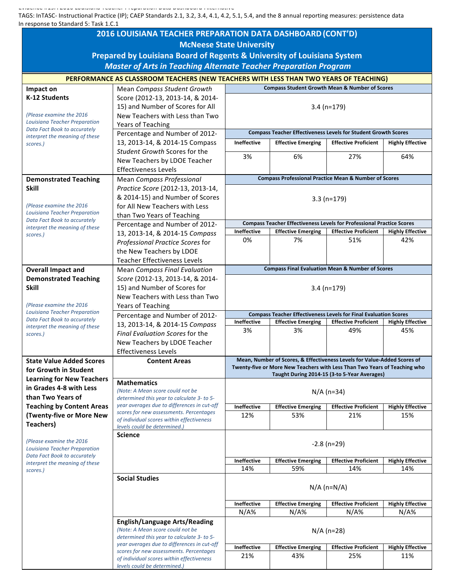Evidence #19A 2016 Louisiana Teacher Preparation Data Dashboard-Alternative

TAGS: InTASC- Instructional Practice (IP); CAEP Standards 2.1, 3.2, 3.4, 4.1, 4.2, 5.1, 5.4, and the 8 annual reporting measures: persistence data In response to Standard 5: Task 1.C.1

| 2016 LOUISIANA TEACHER PREPARATION DATA DASHBOARD (CONT'D)              |                                                                                           |                                                                                                                                                    |                                  |                                                                              |                                |  |  |  |  |  |
|-------------------------------------------------------------------------|-------------------------------------------------------------------------------------------|----------------------------------------------------------------------------------------------------------------------------------------------------|----------------------------------|------------------------------------------------------------------------------|--------------------------------|--|--|--|--|--|
| <b>McNeese State University</b>                                         |                                                                                           |                                                                                                                                                    |                                  |                                                                              |                                |  |  |  |  |  |
| Prepared by Louisiana Board of Regents & University of Louisiana System |                                                                                           |                                                                                                                                                    |                                  |                                                                              |                                |  |  |  |  |  |
| <b>Master of Arts in Teaching Alternate Teacher Preparation Program</b> |                                                                                           |                                                                                                                                                    |                                  |                                                                              |                                |  |  |  |  |  |
|                                                                         |                                                                                           |                                                                                                                                                    |                                  |                                                                              |                                |  |  |  |  |  |
|                                                                         |                                                                                           | PERFORMANCE AS CLASSROOM TEACHERS (NEW TEACHERS WITH LESS THAN TWO YEARS OF TEACHING)<br><b>Compass Student Growth Mean &amp; Number of Scores</b> |                                  |                                                                              |                                |  |  |  |  |  |
| Impact on<br>K-12 Students                                              | Mean Compass Student Growth<br>Score (2012-13, 2013-14, & 2014-                           |                                                                                                                                                    |                                  |                                                                              |                                |  |  |  |  |  |
|                                                                         | 15) and Number of Scores for All                                                          |                                                                                                                                                    |                                  |                                                                              |                                |  |  |  |  |  |
| (Please examine the 2016)                                               | New Teachers with Less than Two                                                           | $3.4$ (n=179)                                                                                                                                      |                                  |                                                                              |                                |  |  |  |  |  |
| <b>Louisiana Teacher Preparation</b>                                    | Years of Teaching                                                                         |                                                                                                                                                    |                                  |                                                                              |                                |  |  |  |  |  |
| Data Fact Book to accurately                                            | Percentage and Number of 2012-                                                            | <b>Compass Teacher Effectiveness Levels for Student Growth Scores</b>                                                                              |                                  |                                                                              |                                |  |  |  |  |  |
| interpret the meaning of these<br>scores.)                              | 13, 2013-14, & 2014-15 Compass                                                            | <b>Ineffective</b>                                                                                                                                 | <b>Effective Emerging</b>        | <b>Effective Proficient</b>                                                  | <b>Highly Effective</b>        |  |  |  |  |  |
|                                                                         | Student Growth Scores for the                                                             |                                                                                                                                                    |                                  |                                                                              |                                |  |  |  |  |  |
|                                                                         | New Teachers by LDOE Teacher                                                              | 3%                                                                                                                                                 | 6%                               | 27%                                                                          | 64%                            |  |  |  |  |  |
|                                                                         | <b>Effectiveness Levels</b>                                                               |                                                                                                                                                    |                                  |                                                                              |                                |  |  |  |  |  |
| <b>Demonstrated Teaching</b>                                            | Mean Compass Professional                                                                 | <b>Compass Professional Practice Mean &amp; Number of Scores</b>                                                                                   |                                  |                                                                              |                                |  |  |  |  |  |
| <b>Skill</b>                                                            | Practice Score (2012-13, 2013-14,                                                         |                                                                                                                                                    |                                  |                                                                              |                                |  |  |  |  |  |
|                                                                         | & 2014-15) and Number of Scores                                                           |                                                                                                                                                    |                                  | $3.3(n=179)$                                                                 |                                |  |  |  |  |  |
| (Please examine the 2016)                                               | for All New Teachers with Less                                                            |                                                                                                                                                    |                                  |                                                                              |                                |  |  |  |  |  |
| <b>Louisiana Teacher Preparation</b><br>Data Fact Book to accurately    | than Two Years of Teaching                                                                |                                                                                                                                                    |                                  |                                                                              |                                |  |  |  |  |  |
| interpret the meaning of these                                          | Percentage and Number of 2012-                                                            |                                                                                                                                                    |                                  | <b>Compass Teacher Effectiveness Levels for Professional Practice Scores</b> |                                |  |  |  |  |  |
| scores.)                                                                | 13, 2013-14, & 2014-15 Compass                                                            | Ineffective                                                                                                                                        | <b>Effective Emerging</b>        | <b>Effective Proficient</b>                                                  | <b>Highly Effective</b>        |  |  |  |  |  |
|                                                                         | Professional Practice Scores for                                                          | 0%                                                                                                                                                 | 7%                               | 51%                                                                          | 42%                            |  |  |  |  |  |
|                                                                         | the New Teachers by LDOE                                                                  |                                                                                                                                                    |                                  |                                                                              |                                |  |  |  |  |  |
|                                                                         | <b>Teacher Effectiveness Levels</b>                                                       |                                                                                                                                                    |                                  |                                                                              |                                |  |  |  |  |  |
| <b>Overall Impact and</b>                                               | <b>Mean Compass Final Evaluation</b>                                                      |                                                                                                                                                    |                                  | <b>Compass Final Evaluation Mean &amp; Number of Scores</b>                  |                                |  |  |  |  |  |
| <b>Demonstrated Teaching</b>                                            | Score (2012-13, 2013-14, & 2014-                                                          |                                                                                                                                                    |                                  |                                                                              |                                |  |  |  |  |  |
| <b>Skill</b>                                                            | 15) and Number of Scores for                                                              |                                                                                                                                                    |                                  | $3.4 (n=179)$                                                                |                                |  |  |  |  |  |
| (Please examine the 2016)                                               | New Teachers with Less than Two                                                           |                                                                                                                                                    |                                  |                                                                              |                                |  |  |  |  |  |
| Louisiana Teacher Preparation                                           | Years of Teaching                                                                         |                                                                                                                                                    |                                  | <b>Compass Teacher Effectiveness Levels for Final Evaluation Scores</b>      |                                |  |  |  |  |  |
| Data Fact Book to accurately                                            | Percentage and Number of 2012-<br>13, 2013-14, & 2014-15 Compass                          | Ineffective                                                                                                                                        | <b>Effective Emerging</b>        | <b>Effective Proficient</b>                                                  | <b>Highly Effective</b>        |  |  |  |  |  |
| interpret the meaning of these                                          | Final Evaluation Scores for the                                                           | 3%                                                                                                                                                 | 3%                               | 49%                                                                          | 45%                            |  |  |  |  |  |
| scores.)                                                                | New Teachers by LDOE Teacher                                                              |                                                                                                                                                    |                                  |                                                                              |                                |  |  |  |  |  |
|                                                                         | <b>Effectiveness Levels</b>                                                               |                                                                                                                                                    |                                  |                                                                              |                                |  |  |  |  |  |
| <b>State Value Added Scores</b>                                         | <b>Content Areas</b>                                                                      | Mean, Number of Scores, & Effectiveness Levels for Value-Added Scores of                                                                           |                                  |                                                                              |                                |  |  |  |  |  |
| for Growth in Student                                                   |                                                                                           |                                                                                                                                                    |                                  | Twenty-five or More New Teachers with Less Than Two Years of Teaching who    |                                |  |  |  |  |  |
| <b>Learning for New Teachers</b>                                        |                                                                                           |                                                                                                                                                    |                                  | Taught During 2014-15 (3-to 5-Year Averages)                                 |                                |  |  |  |  |  |
| in Grades 4-8 with Less                                                 | <b>Mathematics</b><br>(Note: A Mean score could not be                                    | $N/A$ (n=34)                                                                                                                                       |                                  |                                                                              |                                |  |  |  |  |  |
| than Two Years of                                                       | determined this year to calculate 3- to 5-                                                |                                                                                                                                                    |                                  |                                                                              |                                |  |  |  |  |  |
| <b>Teaching by Content Areas</b>                                        | year averages due to differences in cut-off                                               | Ineffective                                                                                                                                        | <b>Effective Emerging</b>        | <b>Effective Proficient</b>                                                  | <b>Highly Effective</b>        |  |  |  |  |  |
| (Twenty-five or More New                                                | scores for new assessments. Percentages<br>of individual scores within effectiveness      | 12%                                                                                                                                                | 53%                              | 21%                                                                          | 15%                            |  |  |  |  |  |
| <b>Teachers)</b>                                                        | levels could be determined.)                                                              |                                                                                                                                                    |                                  |                                                                              |                                |  |  |  |  |  |
|                                                                         | <b>Science</b>                                                                            |                                                                                                                                                    |                                  |                                                                              |                                |  |  |  |  |  |
| (Please examine the 2016<br>Louisiana Teacher Preparation               |                                                                                           | $-2.8$ (n=29)                                                                                                                                      |                                  |                                                                              |                                |  |  |  |  |  |
| Data Fact Book to accurately                                            |                                                                                           |                                                                                                                                                    |                                  |                                                                              |                                |  |  |  |  |  |
| interpret the meaning of these                                          |                                                                                           | Ineffective<br>14%                                                                                                                                 | <b>Effective Emerging</b><br>59% | <b>Effective Proficient</b><br>14%                                           | <b>Highly Effective</b><br>14% |  |  |  |  |  |
| scores.)                                                                | <b>Social Studies</b>                                                                     |                                                                                                                                                    |                                  |                                                                              |                                |  |  |  |  |  |
|                                                                         |                                                                                           | $N/A$ (n= $N/A$ )                                                                                                                                  |                                  |                                                                              |                                |  |  |  |  |  |
|                                                                         |                                                                                           |                                                                                                                                                    |                                  |                                                                              |                                |  |  |  |  |  |
|                                                                         |                                                                                           | Ineffective                                                                                                                                        | <b>Effective Emerging</b>        | <b>Effective Proficient</b>                                                  | <b>Highly Effective</b>        |  |  |  |  |  |
|                                                                         |                                                                                           | $N/A\%$                                                                                                                                            | $N/A\%$                          | $N/A\%$                                                                      | $N/A\%$                        |  |  |  |  |  |
|                                                                         | <b>English/Language Arts/Reading</b>                                                      | $N/A$ (n=28)                                                                                                                                       |                                  |                                                                              |                                |  |  |  |  |  |
|                                                                         | (Note: A Mean score could not be                                                          |                                                                                                                                                    |                                  |                                                                              |                                |  |  |  |  |  |
|                                                                         | determined this year to calculate 3- to 5-<br>year averages due to differences in cut-off |                                                                                                                                                    |                                  |                                                                              |                                |  |  |  |  |  |
|                                                                         | scores for new assessments. Percentages                                                   | Ineffective                                                                                                                                        | <b>Effective Emerging</b>        | <b>Effective Proficient</b>                                                  | <b>Highly Effective</b>        |  |  |  |  |  |
|                                                                         | of individual scores within effectiveness                                                 | 21%                                                                                                                                                | 43%                              | 25%                                                                          | 11%                            |  |  |  |  |  |
|                                                                         | levels could be determined.)                                                              |                                                                                                                                                    |                                  |                                                                              |                                |  |  |  |  |  |